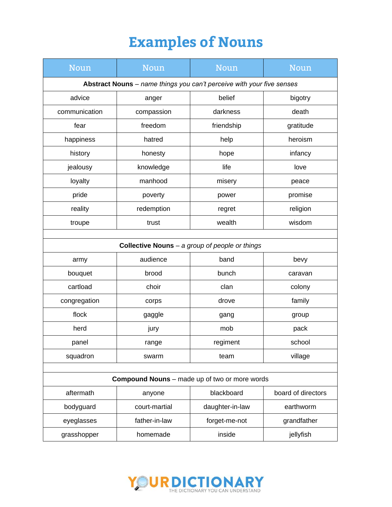## **Examples of Nouns**

| Noun                                                                  | <b>Noun</b>   | Noun            | Noun               |  |  |
|-----------------------------------------------------------------------|---------------|-----------------|--------------------|--|--|
| Abstract Nouns - name things you can't perceive with your five senses |               |                 |                    |  |  |
| advice                                                                | anger         | belief          | bigotry            |  |  |
| communication                                                         | compassion    | darkness        | death              |  |  |
| fear                                                                  | freedom       | friendship      | gratitude          |  |  |
| happiness                                                             | hatred        | help            | heroism            |  |  |
| history                                                               | honesty       | hope            | infancy            |  |  |
| jealousy                                                              | knowledge     | life            | love               |  |  |
| loyalty                                                               | manhood       | misery          | peace              |  |  |
| pride                                                                 | poverty       | power           | promise            |  |  |
| reality                                                               | redemption    | regret          | religion           |  |  |
| troupe                                                                | trust         | wealth          | wisdom             |  |  |
|                                                                       |               |                 |                    |  |  |
| Collective Nouns - a group of people or things                        |               |                 |                    |  |  |
| army                                                                  | audience      | band            | bevy               |  |  |
| bouquet                                                               | brood         | bunch           | caravan            |  |  |
| cartload                                                              | choir         | clan            | colony             |  |  |
| congregation                                                          | corps         | drove           | family             |  |  |
| flock                                                                 | gaggle        | gang            | group              |  |  |
| herd                                                                  | jury          | mob             | pack               |  |  |
| panel                                                                 | range         | regiment        | school             |  |  |
| squadron                                                              | swarm         | team            | village            |  |  |
|                                                                       |               |                 |                    |  |  |
| <b>Compound Nouns</b> – made up of two or more words                  |               |                 |                    |  |  |
| aftermath                                                             | anyone        | blackboard      | board of directors |  |  |
| bodyguard                                                             | court-martial | daughter-in-law | earthworm          |  |  |
| eyeglasses                                                            | father-in-law | forget-me-not   | grandfather        |  |  |
| grasshopper                                                           | homemade      | inside          | jellyfish          |  |  |

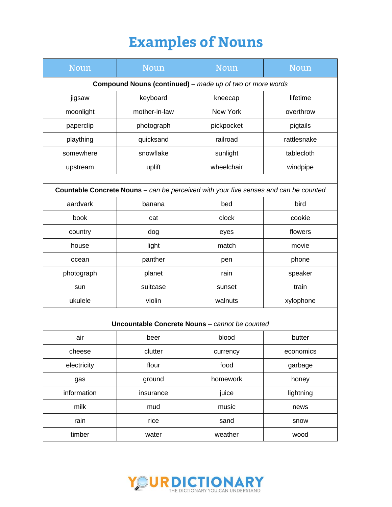## **Examples of Nouns**

| <b>Noun</b>                                                                          | <b>Noun</b>   | Noun       | Noun        |  |  |
|--------------------------------------------------------------------------------------|---------------|------------|-------------|--|--|
| <b>Compound Nouns (continued)</b> - made up of two or more words                     |               |            |             |  |  |
| jigsaw                                                                               | keyboard      | kneecap    | lifetime    |  |  |
| moonlight                                                                            | mother-in-law | New York   | overthrow   |  |  |
| paperclip                                                                            | photograph    | pickpocket | pigtails    |  |  |
| plaything                                                                            | quicksand     | railroad   | rattlesnake |  |  |
| somewhere                                                                            | snowflake     | sunlight   | tablecloth  |  |  |
| upstream                                                                             | uplift        | wheelchair | windpipe    |  |  |
|                                                                                      |               |            |             |  |  |
| Countable Concrete Nouns - can be perceived with your five senses and can be counted |               |            |             |  |  |
| aardvark                                                                             | banana        | bed        | bird        |  |  |
| book                                                                                 | cat           | clock      | cookie      |  |  |
| country                                                                              | dog           | eyes       | flowers     |  |  |
| house                                                                                | light         | match      | movie       |  |  |
| ocean                                                                                | panther       | pen        | phone       |  |  |
| photograph                                                                           | planet        | rain       | speaker     |  |  |
| sun                                                                                  | suitcase      | sunset     | train       |  |  |
| ukulele                                                                              | violin        | walnuts    | xylophone   |  |  |
|                                                                                      |               |            |             |  |  |
| Uncountable Concrete Nouns - cannot be counted                                       |               |            |             |  |  |
| air                                                                                  | beer          | blood      | butter      |  |  |
| cheese                                                                               | clutter       | currency   | economics   |  |  |
| electricity                                                                          | flour         | food       | garbage     |  |  |
| gas                                                                                  | ground        | homework   | honey       |  |  |
| information                                                                          | insurance     | juice      | lightning   |  |  |
| milk                                                                                 | mud           | music      | news        |  |  |
| rain                                                                                 | rice          | sand       | snow        |  |  |
| timber                                                                               | water         | weather    | wood        |  |  |